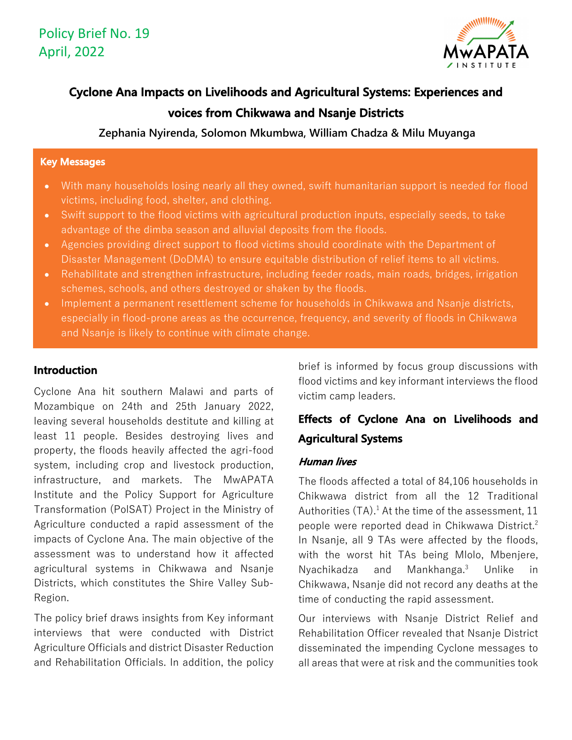

# **Cyclone Ana Impacts on Livelihoods and Agricultural Systems: Experiences and voices from Chikwawa and Nsanje Districts**

**Zephania Nyirenda, Solomon Mkumbwa, William Chadza & Milu Muyanga** 

#### **Key Messages**

- With many households losing nearly all they owned, swift humanitarian support is needed for flood victims, including food, shelter, and clothing.
- Swift support to the flood victims with agricultural production inputs, especially seeds, to take advantage of the dimba season and alluvial deposits from the floods.
- Agencies providing direct support to flood victims should coordinate with the Department of Disaster Management (DoDMA) to ensure equitable distribution of relief items to all victims.
- Rehabilitate and strengthen infrastructure, including feeder roads, main roads, bridges, irrigation schemes, schools, and others destroyed or shaken by the floods.
- Implement a permanent resettlement scheme for households in Chikwawa and Nsanje districts, especially in flood-prone areas as the occurrence, frequency, and severity of floods in Chikwawa and Nsanje is likely to continue with climate change.

## **Introduction**

Cyclone Ana hit southern Malawi and parts of Mozambique on 24th and 25th January 2022, leaving several households destitute and killing at least 11 people. Besides destroying lives and property, the floods heavily affected the agri-food system, including crop and livestock production, infrastructure, and markets. The MwAPATA Institute and the Policy Support for Agriculture Transformation (PolSAT) Project in the Ministry of Agriculture conducted a rapid assessment of the impacts of Cyclone Ana. The main objective of the assessment was to understand how it affected agricultural systems in Chikwawa and Nsanje Districts, which constitutes the Shire Valley Sub-Region.

The policy brief draws insights from Key informant interviews that were conducted with District Agriculture Officials and district Disaster Reduction and Rehabilitation Officials. In addition, the policy brief is informed by focus group discussions with flood victims and key informant interviews the flood victim camp leaders.

## **Effects of Cyclone Ana on Livelihoods and Agricultural Systems**

## **Human lives**

The floods affected a total of 84,106 households in Chikwawa district from all the 12 Traditional Authorities (TA).<sup>1</sup> At the time of the assessment, 11 people were reported dead in Chikwawa District.<sup>2</sup> In Nsanje, all 9 TAs were affected by the floods, with the worst hit TAs being Mlolo, Mbenjere, Nyachikadza and Mankhanga.3 Unlike in Chikwawa, Nsanje did not record any deaths at the time of conducting the rapid assessment.

Our interviews with Nsanje District Relief and Rehabilitation Officer revealed that Nsanje District disseminated the impending Cyclone messages to all areas that were at risk and the communities took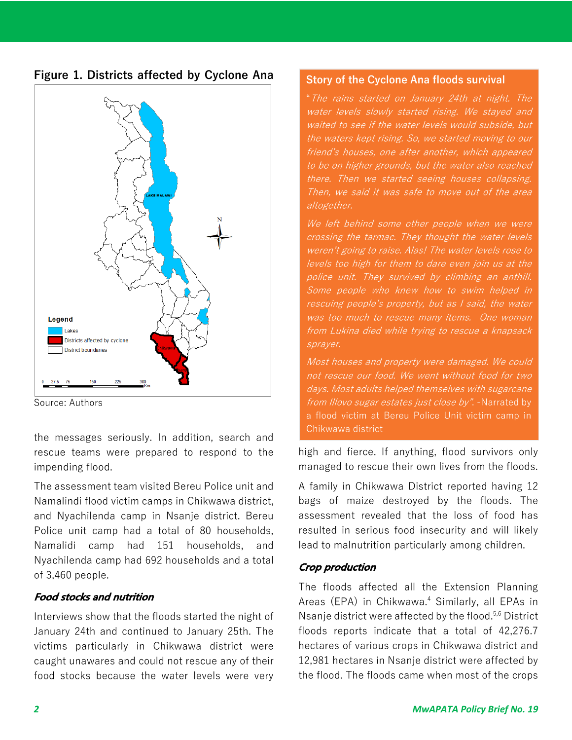



Source: Authors

the messages seriously. In addition, search and rescue teams were prepared to respond to the impending flood.

The assessment team visited Bereu Police unit and Namalindi flood victim camps in Chikwawa district, and Nyachilenda camp in Nsanje district. Bereu Police unit camp had a total of 80 households, Namalidi camp had 151 households, and Nyachilenda camp had 692 households and a total of 3,460 people.

## **Food stocks and nutrition**

Interviews show that the floods started the night of January 24th and continued to January 25th. The victims particularly in Chikwawa district were caught unawares and could not rescue any of their food stocks because the water levels were very

## **Story of the Cyclone Ana floods survival**

"The rains started on January 24th at night. The water levels slowly started rising. We stayed and waited to see if the water levels would subside, but the waters kept rising. So, we started moving to our friend's houses, one after another, which appeared to be on higher grounds, but the water also reached there. Then we started seeing houses collapsing. Then, we said it was safe to move out of the area altogether.

We left behind some other people when we were crossing the tarmac. They thought the water levels weren't going to raise. Alas! The water levels rose to levels too high for them to dare even join us at the police unit. They survived by climbing an anthill. Some people who knew how to swim helped in rescuing people's property, but as I said, the water was too much to rescue many items. One woman from Lukina died while trying to rescue a knapsack sprayer.

Most houses and property were damaged. We could not rescue our food. We went without food for two days. Most adults helped themselves with sugarcane from Illovo sugar estates just close by". -Narrated by a flood victim at Bereu Police Unit victim camp in Chikwawa district

high and fierce. If anything, flood survivors only managed to rescue their own lives from the floods.

A family in Chikwawa District reported having 12 bags of maize destroyed by the floods. The assessment revealed that the loss of food has resulted in serious food insecurity and will likely lead to malnutrition particularly among children.

## **Crop production**

The floods affected all the Extension Planning Areas (EPA) in Chikwawa.<sup>4</sup> Similarly, all EPAs in Nsanje district were affected by the flood.<sup>5,6</sup> District floods reports indicate that a total of 42,276.7 hectares of various crops in Chikwawa district and 12,981 hectares in Nsanje district were affected by the flood. The floods came when most of the crops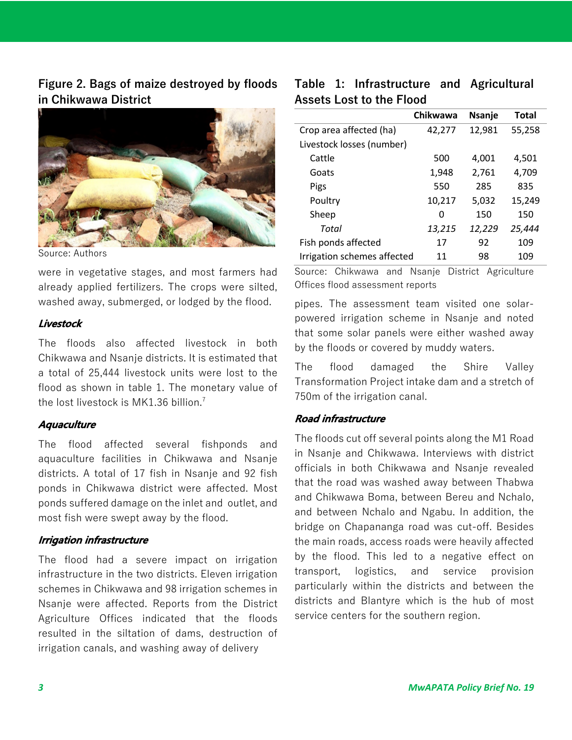**Figure 2. Bags of maize destroyed by floods in Chikwawa District**



Source: Authors

were in vegetative stages, and most farmers had already applied fertilizers. The crops were silted, washed away, submerged, or lodged by the flood.

## **Livestock**

The floods also affected livestock in both Chikwawa and Nsanje districts. It is estimated that a total of 25,444 livestock units were lost to the flood as shown in table 1. The monetary value of the lost livestock is MK1.36 billion. 7

#### **Aquaculture**

The flood affected several fishponds and aquaculture facilities in Chikwawa and Nsanje districts. A total of 17 fish in Nsanje and 92 fish ponds in Chikwawa district were affected. Most ponds suffered damage on the inlet and outlet, and most fish were swept away by the flood.

#### **Irrigation infrastructure**

The flood had a severe impact on irrigation infrastructure in the two districts. Eleven irrigation schemes in Chikwawa and 98 irrigation schemes in Nsanje were affected. Reports from the District Agriculture Offices indicated that the floods resulted in the siltation of dams, destruction of irrigation canals, and washing away of delivery

## **Table 1: Infrastructure and Agricultural Assets Lost to the Flood**

|                             | Chikwawa | <b>Nsanje</b> | <b>Total</b> |
|-----------------------------|----------|---------------|--------------|
| Crop area affected (ha)     | 42,277   | 12,981        | 55,258       |
| Livestock losses (number)   |          |               |              |
| Cattle                      | 500      | 4.001         | 4,501        |
| Goats                       | 1,948    | 2,761         | 4,709        |
| Pigs                        | 550      | 285           | 835          |
| Poultry                     | 10,217   | 5,032         | 15,249       |
| Sheep                       | 0        | 150           | 150          |
| Total                       | 13,215   | 12,229        | 25,444       |
| Fish ponds affected         | 17       | 92            | 109          |
| Irrigation schemes affected | 11       | 98            | 109          |

Source: Chikwawa and Nsanje District Agriculture Offices flood assessment reports

pipes. The assessment team visited one solarpowered irrigation scheme in Nsanje and noted that some solar panels were either washed away by the floods or covered by muddy waters.

The flood damaged the Shire Valley Transformation Project intake dam and a stretch of 750m of the irrigation canal.

#### **Road infrastructure**

The floods cut off several points along the M1 Road in Nsanje and Chikwawa. Interviews with district officials in both Chikwawa and Nsanje revealed that the road was washed away between Thabwa and Chikwawa Boma, between Bereu and Nchalo, and between Nchalo and Ngabu. In addition, the bridge on Chapananga road was cut-off. Besides the main roads, access roads were heavily affected by the flood. This led to a negative effect on transport, logistics, and service provision particularly within the districts and between the districts and Blantyre which is the hub of most service centers for the southern region.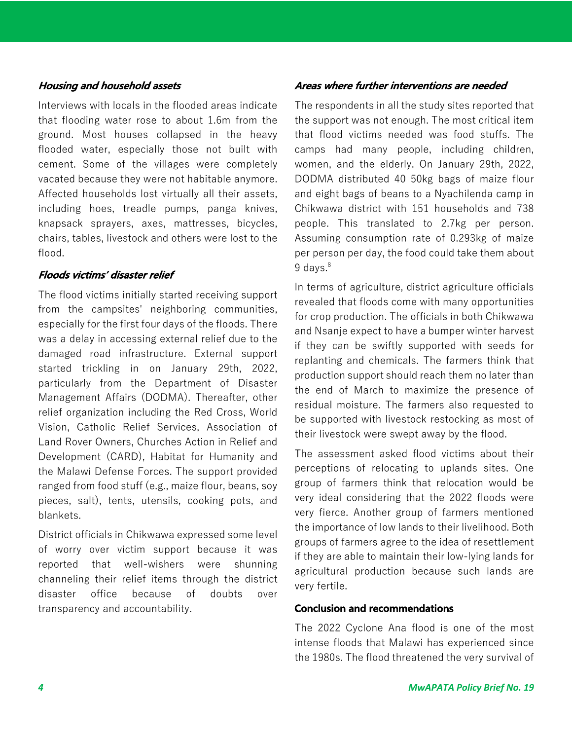#### **Housing and household assets**

Interviews with locals in the flooded areas indicate that flooding water rose to about 1.6m from the ground. Most houses collapsed in the heavy flooded water, especially those not built with cement. Some of the villages were completely vacated because they were not habitable anymore. Affected households lost virtually all their assets, including hoes, treadle pumps, panga knives, knapsack sprayers, axes, mattresses, bicycles, chairs, tables, livestock and others were lost to the flood.

#### **Floods victims' disaster relief**

The flood victims initially started receiving support from the campsites' neighboring communities, especially for the first four days of the floods. There was a delay in accessing external relief due to the damaged road infrastructure. External support started trickling in on January 29th, 2022, particularly from the Department of Disaster Management Affairs (DODMA). Thereafter, other relief organization including the Red Cross, World Vision, Catholic Relief Services, Association of Land Rover Owners, Churches Action in Relief and Development (CARD), Habitat for Humanity and the Malawi Defense Forces. The support provided ranged from food stuff (e.g., maize flour, beans, soy pieces, salt), tents, utensils, cooking pots, and blankets.

District officials in Chikwawa expressed some level of worry over victim support because it was reported that well-wishers were shunning channeling their relief items through the district disaster office because of doubts over transparency and accountability.

## **Areas where further interventions are needed**

The respondents in all the study sites reported that the support was not enough. The most critical item that flood victims needed was food stuffs. The camps had many people, including children, women, and the elderly. On January 29th, 2022, DODMA distributed 40 50kg bags of maize flour and eight bags of beans to a Nyachilenda camp in Chikwawa district with 151 households and 738 people. This translated to 2.7kg per person. Assuming consumption rate of 0.293kg of maize per person per day, the food could take them about 9 days. 8

In terms of agriculture, district agriculture officials revealed that floods come with many opportunities for crop production. The officials in both Chikwawa and Nsanje expect to have a bumper winter harvest if they can be swiftly supported with seeds for replanting and chemicals. The farmers think that production support should reach them no later than the end of March to maximize the presence of residual moisture. The farmers also requested to be supported with livestock restocking as most of their livestock were swept away by the flood.

The assessment asked flood victims about their perceptions of relocating to uplands sites. One group of farmers think that relocation would be very ideal considering that the 2022 floods were very fierce. Another group of farmers mentioned the importance of low lands to their livelihood. Both groups of farmers agree to the idea of resettlement if they are able to maintain their low-lying lands for agricultural production because such lands are very fertile.

#### **Conclusion and recommendations**

The 2022 Cyclone Ana flood is one of the most intense floods that Malawi has experienced since the 1980s. The flood threatened the very survival of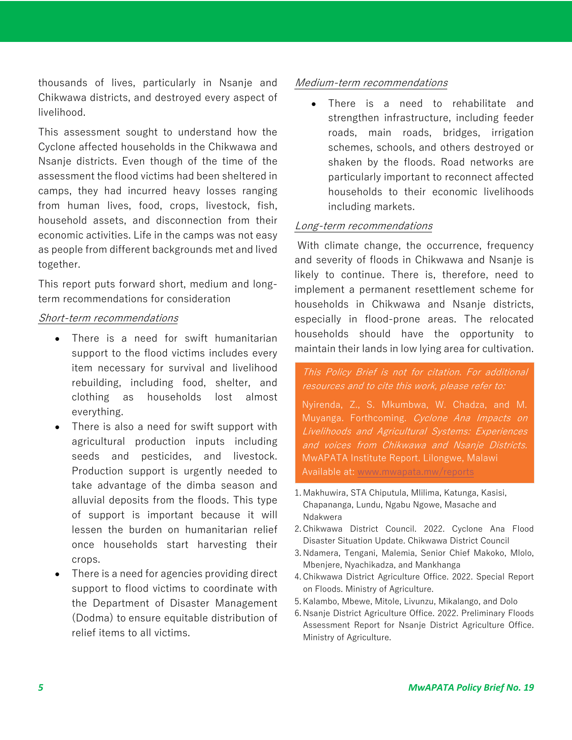thousands of lives, particularly in Nsanje and Chikwawa districts, and destroyed every aspect of livelihood.

This assessment sought to understand how the Cyclone affected households in the Chikwawa and Nsanje districts. Even though of the time of the assessment the flood victims had been sheltered in camps, they had incurred heavy losses ranging from human lives, food, crops, livestock, fish, household assets, and disconnection from their economic activities. Life in the camps was not easy as people from different backgrounds met and lived together.

This report puts forward short, medium and longterm recommendations for consideration

#### Short-term recommendations

- There is a need for swift humanitarian support to the flood victims includes every item necessary for survival and livelihood rebuilding, including food, shelter, and clothing as households lost almost everything.
- There is also a need for swift support with agricultural production inputs including seeds and pesticides, and livestock. Production support is urgently needed to take advantage of the dimba season and alluvial deposits from the floods. This type of support is important because it will lessen the burden on humanitarian relief once households start harvesting their crops.
- There is a need for agencies providing direct support to flood victims to coordinate with the Department of Disaster Management (Dodma) to ensure equitable distribution of relief items to all victims.

## Medium-term recommendations

• There is a need to rehabilitate and strengthen infrastructure, including feeder roads, main roads, bridges, irrigation schemes, schools, and others destroyed or shaken by the floods. Road networks are particularly important to reconnect affected households to their economic livelihoods including markets.

## Long-term recommendations

With climate change, the occurrence, frequency and severity of floods in Chikwawa and Nsanje is likely to continue. There is, therefore, need to implement a permanent resettlement scheme for households in Chikwawa and Nsanje districts, especially in flood-prone areas. The relocated households should have the opportunity to maintain their lands in low lying area for cultivation.

This Policy Brief is not for citation. For additional resources and to cite this work, please refer to:

Nyirenda, Z., S. Mkumbwa, W. Chadza, and M. Muyanga. Forthcoming. Cyclone Ana Impacts on Livelihoods and Agricultural Systems: Experiences and voices from Chikwawa and Nsanje Districts. MwAPATA Institute Report. Lilongwe, Malawi Available at: www.mwapata.mw/reports

- 1. Makhuwira, STA Chiputula, Mlilima, Katunga, Kasisi, Chapananga, Lundu, Ngabu Ngowe, Masache and Ndakwera
- 2. Chikwawa District Council. 2022. Cyclone Ana Flood Disaster Situation Update. Chikwawa District Council
- 3. Ndamera, Tengani, Malemia, Senior Chief Makoko, Mlolo, Mbenjere, Nyachikadza, and Mankhanga
- 4. Chikwawa District Agriculture Office. 2022. Special Report on Floods. Ministry of Agriculture.
- 5. Kalambo, Mbewe, Mitole, Livunzu, Mikalango, and Dolo
- 6. Nsanje District Agriculture Office. 2022. Preliminary Floods Assessment Report for Nsanje District Agriculture Office. Ministry of Agriculture.